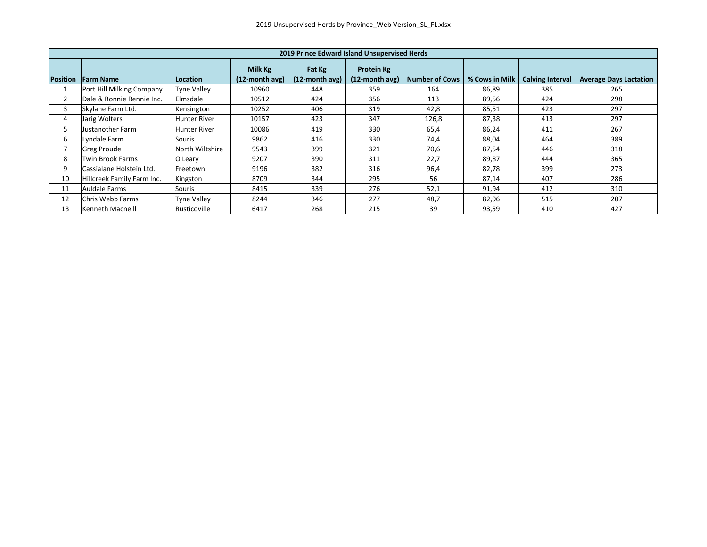|                 | 2019 Prince Edward Island Unsupervised Herds |                    |                              |                          |                              |                       |                |                         |                               |  |  |
|-----------------|----------------------------------------------|--------------------|------------------------------|--------------------------|------------------------------|-----------------------|----------------|-------------------------|-------------------------------|--|--|
| <b>Position</b> | <b>Farm Name</b>                             | Location           | Milk Kg<br>$(12$ -month avg) | Fat Kg<br>(12-month avg) | Protein Kg<br>(12-month avg) | <b>Number of Cows</b> | % Cows in Milk | <b>Calving Interval</b> | <b>Average Days Lactation</b> |  |  |
|                 | Port Hill Milking Company                    | <b>Tyne Valley</b> | 10960                        | 448                      | 359                          | 164                   | 86,89          | 385                     | 265                           |  |  |
| 2               | Dale & Ronnie Rennie Inc.                    | Elmsdale           | 10512                        | 424                      | 356                          | 113                   | 89,56          | 424                     | 298                           |  |  |
| 3               | Skylane Farm Ltd.                            | Kensington         | 10252                        | 406                      | 319                          | 42,8                  | 85,51          | 423                     | 297                           |  |  |
| 4               | Jarig Wolters                                | Hunter River       | 10157                        | 423                      | 347                          | 126,8                 | 87,38          | 413                     | 297                           |  |  |
| 5               | Justanother Farm                             | Hunter River       | 10086                        | 419                      | 330                          | 65,4                  | 86,24          | 411                     | 267                           |  |  |
| 6               | Lyndale Farm                                 | Souris             | 9862                         | 416                      | 330                          | 74,4                  | 88,04          | 464                     | 389                           |  |  |
|                 | <b>Greg Proude</b>                           | North Wiltshire    | 9543                         | 399                      | 321                          | 70,6                  | 87,54          | 446                     | 318                           |  |  |
| 8               | <b>Twin Brook Farms</b>                      | <b>O'Leary</b>     | 9207                         | 390                      | 311                          | 22,7                  | 89,87          | 444                     | 365                           |  |  |
| 9               | Cassialane Holstein Ltd.                     | Freetown           | 9196                         | 382                      | 316                          | 96,4                  | 82,78          | 399                     | 273                           |  |  |
| 10              | Hillcreek Family Farm Inc.                   | Kingston           | 8709                         | 344                      | 295                          | 56                    | 87,14          | 407                     | 286                           |  |  |
| 11              | Auldale Farms                                | Souris             | 8415                         | 339                      | 276                          | 52,1                  | 91,94          | 412                     | 310                           |  |  |
| 12              | Chris Webb Farms                             | <b>Tyne Valley</b> | 8244                         | 346                      | 277                          | 48,7                  | 82,96          | 515                     | 207                           |  |  |
| 13              | Kenneth Macneill                             | Rusticoville       | 6417                         | 268                      | 215                          | 39                    | 93,59          | 410                     | 427                           |  |  |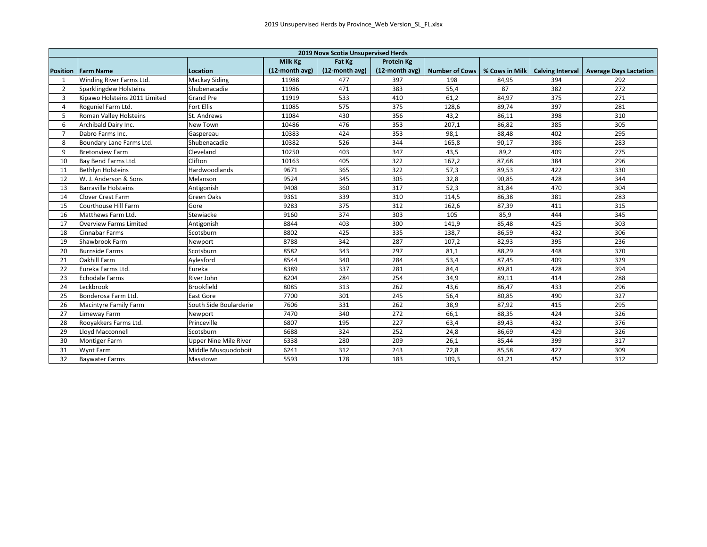|                 | 2019 Nova Scotia Unsupervised Herds    |                              |                |                |                   |                       |                |                         |                               |  |  |
|-----------------|----------------------------------------|------------------------------|----------------|----------------|-------------------|-----------------------|----------------|-------------------------|-------------------------------|--|--|
|                 | Milk Kg<br>Fat Kg<br><b>Protein Kg</b> |                              |                |                |                   |                       |                |                         |                               |  |  |
| <b>Position</b> | <b>Farm Name</b>                       | Location                     | (12-month avg) | (12-month avg) | $(12$ -month avg) | <b>Number of Cows</b> | % Cows in Milk | <b>Calving Interval</b> | <b>Average Days Lactation</b> |  |  |
| 1               | Winding River Farms Ltd.               | Mackay Siding                | 11988          | 477            | 397               | 198                   | 84,95          | 394                     | 292                           |  |  |
| $\overline{2}$  | Sparklingdew Holsteins                 | Shubenacadie                 | 11986          | 471            | 383               | 55,4                  | 87             | 382                     | 272                           |  |  |
| $\overline{3}$  | Kipawo Holsteins 2011 Limited          | <b>Grand Pre</b>             | 11919          | 533            | 410               | 61,2                  | 84,97          | 375                     | 271                           |  |  |
| 4               | Roguniel Farm Ltd.                     | <b>Fort Ellis</b>            | 11085          | 575            | 375               | 128,6                 | 89,74          | 397                     | 281                           |  |  |
| 5               | Roman Valley Holsteins                 | St. Andrews                  | 11084          | 430            | 356               | 43,2                  | 86,11          | 398                     | 310                           |  |  |
| 6               | Archibald Dairy Inc.                   | New Town                     | 10486          | 476            | 353               | 207,1                 | 86,82          | 385                     | 305                           |  |  |
| $\overline{7}$  | Dabro Farms Inc.                       | Gaspereau                    | 10383          | 424            | 353               | 98,1                  | 88,48          | 402                     | 295                           |  |  |
| 8               | Boundary Lane Farms Ltd.               | Shubenacadie                 | 10382          | 526            | 344               | 165,8                 | 90,17          | 386                     | 283                           |  |  |
| 9               | <b>Bretonview Farm</b>                 | Cleveland                    | 10250          | 403            | 347               | 43,5                  | 89,2           | 409                     | 275                           |  |  |
| 10              | Bay Bend Farms Ltd.                    | Clifton                      | 10163          | 405            | 322               | 167,2                 | 87,68          | 384                     | 296                           |  |  |
| 11              | <b>Bethlyn Holsteins</b>               | Hardwoodlands                | 9671           | 365            | 322               | 57,3                  | 89,53          | 422                     | 330                           |  |  |
| 12              | W. J. Anderson & Sons                  | Melanson                     | 9524           | 345            | 305               | 32,8                  | 90,85          | 428                     | 344                           |  |  |
| 13              | <b>Barraville Holsteins</b>            | Antigonish                   | 9408           | 360            | 317               | 52,3                  | 81,84          | 470                     | 304                           |  |  |
| 14              | <b>Clover Crest Farm</b>               | Green Oaks                   | 9361           | 339            | 310               | 114,5                 | 86,38          | 381                     | 283                           |  |  |
| 15              | Courthouse Hill Farm                   | Gore                         | 9283           | 375            | 312               | 162,6                 | 87,39          | 411                     | 315                           |  |  |
| 16              | Matthews Farm Ltd.                     | Stewiacke                    | 9160           | 374            | 303               | 105                   | 85,9           | 444                     | 345                           |  |  |
| 17              | <b>Overview Farms Limited</b>          | Antigonish                   | 8844           | 403            | 300               | 141,9                 | 85,48          | 425                     | 303                           |  |  |
| 18              | Cinnabar Farms                         | Scotsburn                    | 8802           | 425            | 335               | 138,7                 | 86,59          | 432                     | 306                           |  |  |
| 19              | Shawbrook Farm                         | Newport                      | 8788           | 342            | 287               | 107,2                 | 82,93          | 395                     | 236                           |  |  |
| 20              | <b>Burnside Farms</b>                  | Scotsburn                    | 8582           | 343            | 297               | 81,1                  | 88,29          | 448                     | 370                           |  |  |
| 21              | Oakhill Farm                           | Aylesford                    | 8544           | 340            | 284               | 53,4                  | 87,45          | 409                     | 329                           |  |  |
| 22              | Eureka Farms Ltd.                      | Eureka                       | 8389           | 337            | 281               | 84,4                  | 89,81          | 428                     | 394                           |  |  |
| 23              | <b>Echodale Farms</b>                  | River John                   | 8204           | 284            | 254               | 34,9                  | 89,11          | 414                     | 288                           |  |  |
| 24              | Leckbrook                              | <b>Brookfield</b>            | 8085           | 313            | 262               | 43,6                  | 86,47          | 433                     | 296                           |  |  |
| 25              | Bonderosa Farm Ltd.                    | <b>East Gore</b>             | 7700           | 301            | 245               | 56,4                  | 80,85          | 490                     | 327                           |  |  |
| 26              | Macintyre Family Farm                  | South Side Boularderie       | 7606           | 331            | 262               | 38,9                  | 87,92          | 415                     | 295                           |  |  |
| 27              | Limeway Farm                           | Newport                      | 7470           | 340            | 272               | 66,1                  | 88,35          | 424                     | 326                           |  |  |
| 28              | Rooyakkers Farms Ltd.                  | Princeville                  | 6807           | 195            | 227               | 63,4                  | 89,43          | 432                     | 376                           |  |  |
| 29              | <b>Llovd Macconnell</b>                | Scotsburn                    | 6688           | 324            | 252               | 24,8                  | 86,69          | 429                     | 326                           |  |  |
| 30              | <b>Montiger Farm</b>                   | <b>Upper Nine Mile River</b> | 6338           | 280            | 209               | 26,1                  | 85,44          | 399                     | 317                           |  |  |
| 31              | Wynt Farm                              | Middle Musquodoboit          | 6241           | 312            | 243               | 72,8                  | 85,58          | 427                     | 309                           |  |  |
| 32              | <b>Baywater Farms</b>                  | Masstown                     | 5593           | 178            | 183               | 109,3                 | 61,21          | 452                     | 312                           |  |  |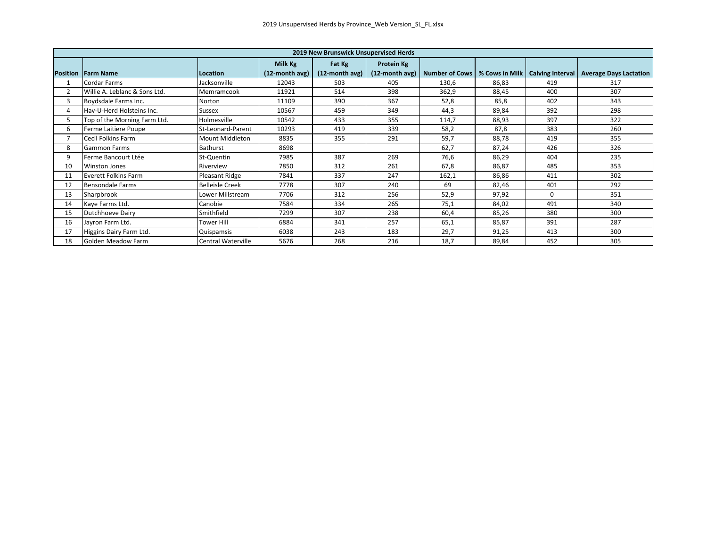| 2019 New Brunswick Unsupervised Herds |                                             |                           |                |                   |            |                                                  |       |          |                                           |  |  |
|---------------------------------------|---------------------------------------------|---------------------------|----------------|-------------------|------------|--------------------------------------------------|-------|----------|-------------------------------------------|--|--|
|                                       |                                             |                           | Milk Kg        | Fat Kg            | Protein Kg |                                                  |       |          |                                           |  |  |
|                                       | <b>Position Farm Name</b>                   | Location                  | (12-month avg) | $(12$ -month avg) |            | (12-month avg)   Number of Cows   % Cows in Milk |       |          | Calving Interval   Average Days Lactation |  |  |
|                                       | Cordar Farms                                | Jacksonville              | 12043          | 503               | 405        | 130,6                                            | 86,83 | 419      | 317                                       |  |  |
| 2                                     | Willie A. Leblanc & Sons Ltd.<br>Memramcook |                           | 11921          | 514               | 398        | 362,9                                            | 88,45 | 400      | 307                                       |  |  |
| 3                                     | Boydsdale Farms Inc.                        | Norton                    | 11109          | 390               | 367        | 52,8                                             | 85,8  | 402      | 343                                       |  |  |
| 4                                     | Hav-U-Herd Holsteins Inc.                   | Sussex                    | 10567          | 459               | 349        | 44,3                                             | 89,84 | 392      | 298                                       |  |  |
| 5                                     | Top of the Morning Farm Ltd.                | Holmesville               | 10542          | 433               | 355        | 114,7                                            | 88,93 | 397      | 322                                       |  |  |
| 6                                     | Ferme Laitiere Poupe                        | St-Leonard-Parent         | 10293          | 419               | 339        | 58,2                                             | 87,8  | 383      | 260                                       |  |  |
| 7                                     | Cecil Folkins Farm                          | <b>Mount Middleton</b>    | 8835           | 355               | 291        | 59,7                                             | 88,78 | 419      | 355                                       |  |  |
| 8                                     | <b>Gammon Farms</b>                         | <b>Bathurst</b>           | 8698           |                   |            | 62,7                                             | 87,24 | 426      | 326                                       |  |  |
| 9                                     | Ferme Bancourt Ltée                         | St-Quentin                | 7985           | 387               | 269        | 76,6                                             | 86,29 | 404      | 235                                       |  |  |
| 10                                    | Winston Jones                               | Riverview                 | 7850           | 312               | 261        | 67,8                                             | 86,87 | 485      | 353                                       |  |  |
| 11                                    | Everett Folkins Farm                        | Pleasant Ridge            | 7841           | 337               | 247        | 162,1                                            | 86,86 | 411      | 302                                       |  |  |
| 12                                    | <b>Bensondale Farms</b>                     | <b>Belleisle Creek</b>    | 7778           | 307               | 240        | 69                                               | 82,46 | 401      | 292                                       |  |  |
| 13                                    | Sharpbrook                                  | Lower Millstream          | 7706           | 312               | 256        | 52,9                                             | 97,92 | $\Omega$ | 351                                       |  |  |
| 14                                    | Kaye Farms Ltd.                             | Canobie                   | 7584           | 334               | 265        | 75,1                                             | 84,02 | 491      | 340                                       |  |  |
| 15                                    | Dutchhoeve Dairy                            | Smithfield                | 7299           | 307               | 238        | 60,4                                             | 85,26 | 380      | 300                                       |  |  |
| 16                                    | Jayron Farm Ltd.                            | <b>Tower Hill</b>         | 6884           | 341               | 257        | 65,1                                             | 85,87 | 391      | 287                                       |  |  |
| 17                                    | Higgins Dairy Farm Ltd.                     | Quispamsis                | 6038           | 243               | 183        | 29,7                                             | 91,25 | 413      | 300                                       |  |  |
| 18                                    | Golden Meadow Farm                          | <b>Central Waterville</b> | 5676           | 268               | 216        | 18,7                                             | 89,84 | 452      | 305                                       |  |  |